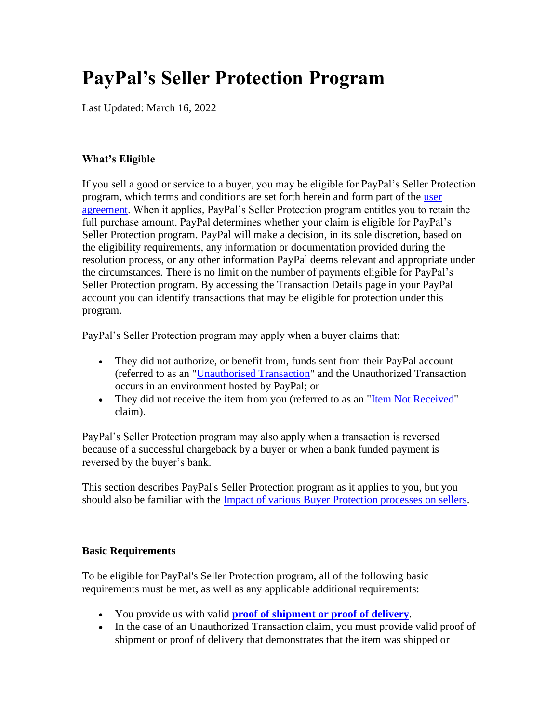# **PayPal's Seller Protection Program**

Last Updated: March 16, 2022

### **What's Eligible**

If you sell a good or service to a buyer, you may be eligible for PayPal's Seller Protection program, which terms and conditions are set forth herein and form part of the [user](https://www.paypal.com/sg/webapps/mpp/ua/useragreement-full?locale.x=en_SG)  [agreement.](https://www.paypal.com/sg/webapps/mpp/ua/useragreement-full?locale.x=en_SG) When it applies, PayPal's Seller Protection program entitles you to retain the full purchase amount. PayPal determines whether your claim is eligible for PayPal's Seller Protection program. PayPal will make a decision, in its sole discretion, based on the eligibility requirements, any information or documentation provided during the resolution process, or any other information PayPal deems relevant and appropriate under the circumstances. There is no limit on the number of payments eligible for PayPal's Seller Protection program. By accessing the Transaction Details page in your PayPal account you can identify transactions that may be eligible for protection under this program.

PayPal's Seller Protection program may apply when a buyer claims that:

- They did not authorize, or benefit from, funds sent from their PayPal account (referred to as an ["Unauthorised Transaction"](https://www.paypal.com/sg/webapps/mpp/ua/useragreement-full?locale.x=en_SG#protection-unauth) and the Unauthorized Transaction occurs in an environment hosted by PayPal; or
- They did not receive the item from you (referred to as an ["Item Not Received"](https://www.paypal.com/sg/webapps/mpp/ua/buyer-protection?locale.x=en_SG#item-not-received) claim).

PayPal's Seller Protection program may also apply when a transaction is reversed because of a successful chargeback by a buyer or when a bank funded payment is reversed by the buyer's bank.

This section describes PayPal's Seller Protection program as it applies to you, but you should also be familiar with the [Impact of various Buyer Protection processes on sellers.](https://www.paypal.com/sg/webapps/mpp/ua/useragreement-full?locale.x=en_SG#impact-bpp-sellers)

#### <span id="page-0-0"></span>**Basic Requirements**

To be eligible for PayPal's Seller Protection program, all of the following basic requirements must be met, as well as any applicable additional requirements:

- You provide us with valid **[proof of shipment or proof of delivery](#page-2-0)**.
- In the case of an Unauthorized Transaction claim, you must provide valid proof of shipment or proof of delivery that demonstrates that the item was shipped or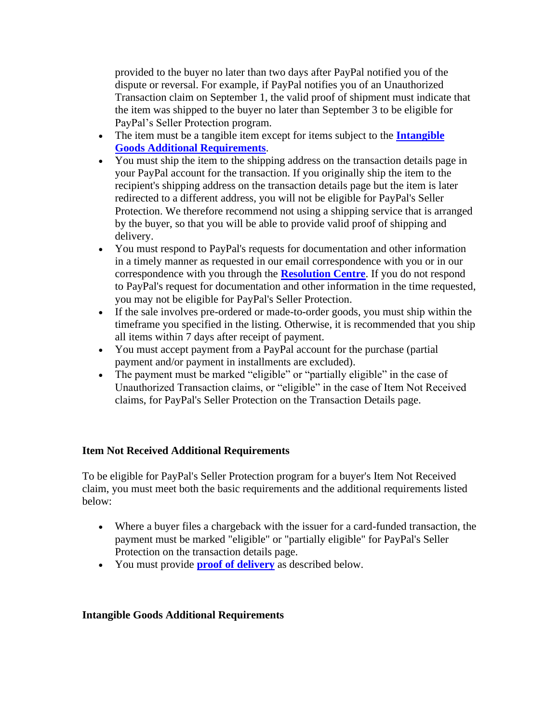provided to the buyer no later than two days after PayPal notified you of the dispute or reversal. For example, if PayPal notifies you of an Unauthorized Transaction claim on September 1, the valid proof of shipment must indicate that the item was shipped to the buyer no later than September 3 to be eligible for PayPal's Seller Protection program.

- The item must be a tangible item except for items subject to the **[Intangible](#page-1-0)  [Goods Additional Requirements](#page-1-0)**.
- You must ship the item to the shipping address on the transaction details page in your PayPal account for the transaction. If you originally ship the item to the recipient's shipping address on the transaction details page but the item is later redirected to a different address, you will not be eligible for PayPal's Seller Protection. We therefore recommend not using a shipping service that is arranged by the buyer, so that you will be able to provide valid proof of shipping and delivery.
- You must respond to PayPal's requests for documentation and other information in a timely manner as requested in our email correspondence with you or in our correspondence with you through the **[Resolution Centre](https://www.paypal.com/sg/cgi-bin/webscr?cmd=_complaint-view&nav=0.4&&locale.x=en_SG)**. If you do not respond to PayPal's request for documentation and other information in the time requested, you may not be eligible for PayPal's Seller Protection.
- If the sale involves pre-ordered or made-to-order goods, you must ship within the timeframe you specified in the listing. Otherwise, it is recommended that you ship all items within 7 days after receipt of payment.
- You must accept payment from a PayPal account for the purchase (partial payment and/or payment in installments are excluded).
- The payment must be marked "eligible" or "partially eligible" in the case of Unauthorized Transaction claims, or "eligible" in the case of Item Not Received claims, for PayPal's Seller Protection on the Transaction Details page.

### **Item Not Received Additional Requirements**

To be eligible for PayPal's Seller Protection program for a buyer's Item Not Received claim, you must meet both the basic requirements and the additional requirements listed below:

- Where a buyer files a chargeback with the issuer for a card-funded transaction, the payment must be marked "eligible" or "partially eligible" for PayPal's Seller Protection on the transaction details page.
- You must provide **[proof of delivery](#page-2-0)** as described below.

### <span id="page-1-0"></span>**Intangible Goods Additional Requirements**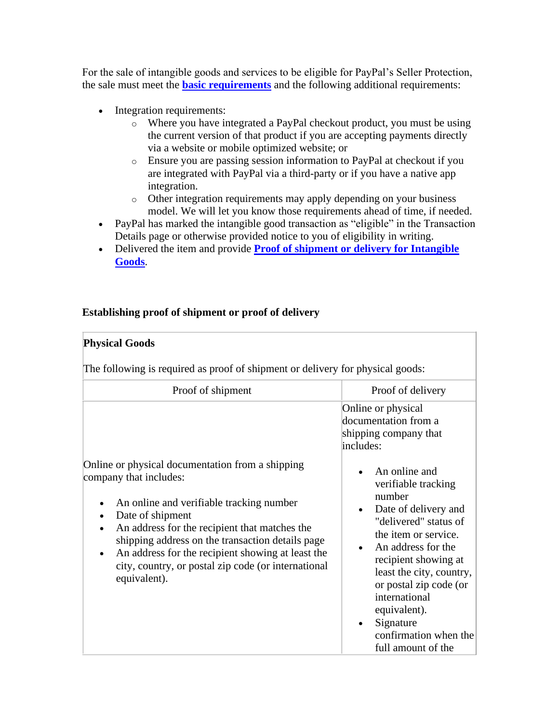For the sale of intangible goods and services to be eligible for PayPal's Seller Protection, the sale must meet the **[basic requirements](#page-0-0)** and the following additional requirements:

- Integration requirements:
	- o Where you have integrated a PayPal checkout product, you must be using the current version of that product if you are accepting payments directly via a website or mobile optimized website; or
	- o Ensure you are passing session information to PayPal at checkout if you are integrated with PayPal via a third-party or if you have a native app integration.
	- o Other integration requirements may apply depending on your business model. We will let you know those requirements ahead of time, if needed.
- PayPal has marked the intangible good transaction as "eligible" in the Transaction Details page or otherwise provided notice to you of eligibility in writing.
- Delivered the item and provide **[Proof of shipment or delivery for Intangible](#page-3-0)  [Goods](#page-3-0)**.

## <span id="page-2-0"></span>**Establishing proof of shipment or proof of delivery**

| <b>Physical Goods</b>                                                                                                                                                                                                                                                                                                   |                                                                                                                                                                                                                                                                                                         |  |  |  |
|-------------------------------------------------------------------------------------------------------------------------------------------------------------------------------------------------------------------------------------------------------------------------------------------------------------------------|---------------------------------------------------------------------------------------------------------------------------------------------------------------------------------------------------------------------------------------------------------------------------------------------------------|--|--|--|
| The following is required as proof of shipment or delivery for physical goods:                                                                                                                                                                                                                                          |                                                                                                                                                                                                                                                                                                         |  |  |  |
| Proof of shipment                                                                                                                                                                                                                                                                                                       | Proof of delivery                                                                                                                                                                                                                                                                                       |  |  |  |
| Online or physical documentation from a shipping                                                                                                                                                                                                                                                                        | Online or physical<br>documentation from a<br>shipping company that<br>includes:<br>An online and                                                                                                                                                                                                       |  |  |  |
| company that includes:<br>An online and verifiable tracking number<br>Date of shipment<br>An address for the recipient that matches the<br>shipping address on the transaction details page<br>An address for the recipient showing at least the<br>city, country, or postal zip code (or international<br>equivalent). | verifiable tracking<br>number<br>Date of delivery and<br>"delivered" status of<br>the item or service.<br>An address for the<br>recipient showing at<br>least the city, country,<br>or postal zip code (or<br>international<br>equivalent).<br>Signature<br>confirmation when the<br>full amount of the |  |  |  |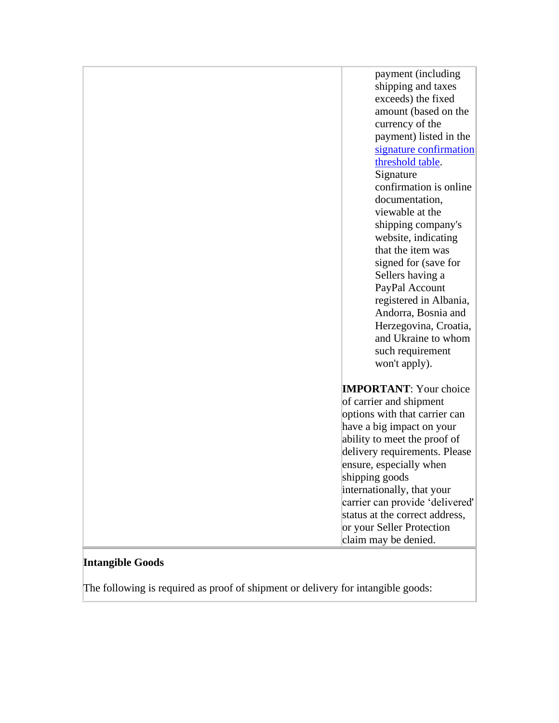payment (including shipping and taxes exceeds) the fixed amount (based on the currency of the payment) listed in the signature confirmation [threshold table.](#page-4-0) Signature confirmation is online documentation, viewable at the shipping company's website, indicating that the item was signed for (save for Sellers having a PayPal Account registered in Albania, Andorra, Bosnia and Herzegovina, Croatia, and Ukraine to whom such requirement won't apply). **IMPORTANT**: Your choice of carrier and shipment options with that carrier can have a big impact on your

ability to meet the proof of delivery requirements. Please ensure, especially when

internationally, that your carrier can provide 'delivered' status at the correct address, or your Seller Protection claim may be denied.

shipping goods

#### <span id="page-3-0"></span>**Intangible Goods**

The following is required as proof of shipment or delivery for intangible goods: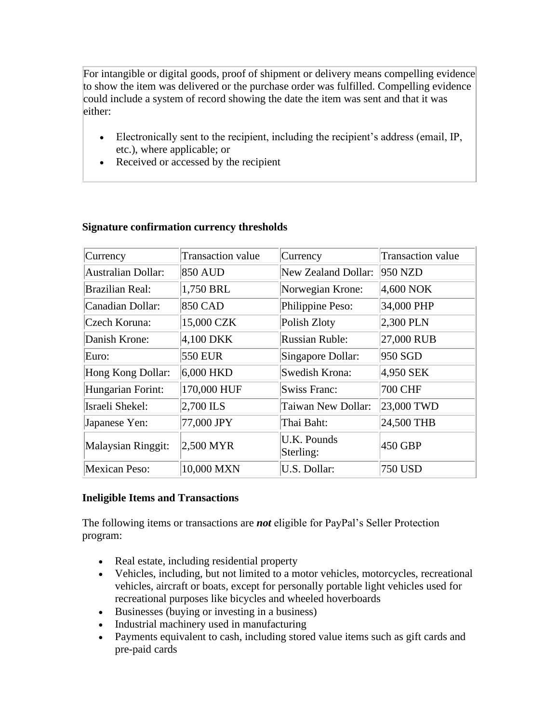For intangible or digital goods, proof of shipment or delivery means compelling evidence to show the item was delivered or the purchase order was fulfilled. Compelling evidence could include a system of record showing the date the item was sent and that it was either:

- Electronically sent to the recipient, including the recipient's address (email, IP, etc.), where applicable; or
- Received or accessed by the recipient

| Currency                  | Transaction value | Currency                 | <b>Transaction value</b> |
|---------------------------|-------------------|--------------------------|--------------------------|
| <b>Australian Dollar:</b> | <b>850 AUD</b>    | New Zealand Dollar:      | $950$ NZD                |
| <b>Brazilian Real:</b>    | 1,750 BRL         | Norwegian Krone:         | $4,600$ NOK              |
| Canadian Dollar:          | <b>850 CAD</b>    | Philippine Peso:         | 34,000 PHP               |
| Czech Koruna:             | 15,000 CZK        | Polish Zloty             | $2,300$ PLN              |
| Danish Krone:             | $4,100$ DKK       | <b>Russian Ruble:</b>    | 27,000 RUB               |
| Euro:                     | <b>550 EUR</b>    | Singapore Dollar:        | 950 SGD                  |
| Hong Kong Dollar:         | $6,000$ HKD       | Swedish Krona:           | 4,950 SEK                |
| Hungarian Forint:         | 170,000 HUF       | <b>Swiss Franc:</b>      | 700 CHF                  |
| Israeli Shekel:           | 2,700 ILS         | Taiwan New Dollar:       | 23,000 TWD               |
| Japanese Yen:             | 77,000 JPY        | Thai Baht:               | 24,500 THB               |
| Malaysian Ringgit:        | 2,500 MYR         | U.K. Pounds<br>Sterling: | 450 GBP                  |
| Mexican Peso:             | 10,000 MXN        | U.S. Dollar:             | <b>750 USD</b>           |

## <span id="page-4-0"></span>**Signature confirmation currency thresholds**

### **Ineligible Items and Transactions**

The following items or transactions are *not* eligible for PayPal's Seller Protection program:

- Real estate, including residential property
- Vehicles, including, but not limited to a motor vehicles, motorcycles, recreational vehicles, aircraft or boats, except for personally portable light vehicles used for recreational purposes like bicycles and wheeled hoverboards
- Businesses (buying or investing in a business)
- Industrial machinery used in manufacturing
- Payments equivalent to cash, including stored value items such as gift cards and pre-paid cards